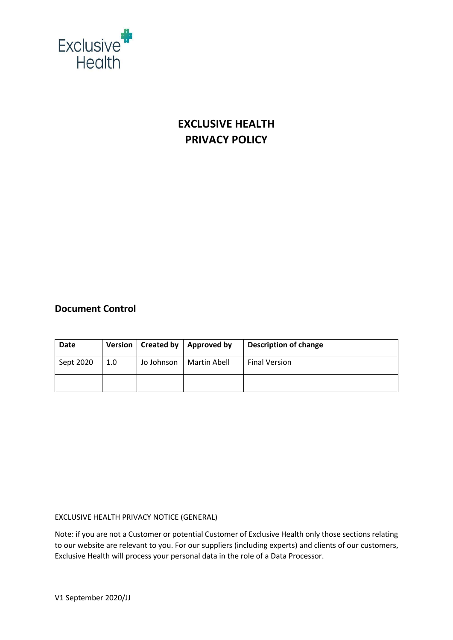

# **EXCLUSIVE HEALTH PRIVACY POLICY**

## **Document Control**

| Date      |     | Version   Created by | Approved by  | <b>Description of change</b> |
|-----------|-----|----------------------|--------------|------------------------------|
| Sept 2020 | 1.0 | Jo Johnson           | Martin Abell | <b>Final Version</b>         |
|           |     |                      |              |                              |

## EXCLUSIVE HEALTH PRIVACY NOTICE (GENERAL)

Note: if you are not a Customer or potential Customer of Exclusive Health only those sections relating to our website are relevant to you. For our suppliers (including experts) and clients of our customers, Exclusive Health will process your personal data in the role of a Data Processor.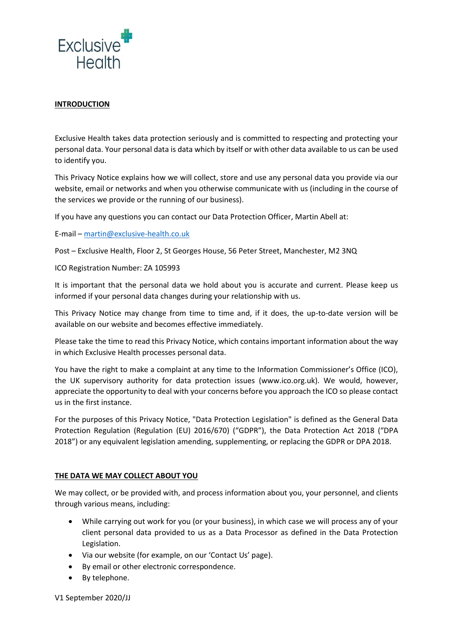

## **INTRODUCTION**

Exclusive Health takes data protection seriously and is committed to respecting and protecting your personal data. Your personal data is data which by itself or with other data available to us can be used to identify you.

This Privacy Notice explains how we will collect, store and use any personal data you provide via our website, email or networks and when you otherwise communicate with us (including in the course of the services we provide or the running of our business).

If you have any questions you can contact our Data Protection Officer, Martin Abell at:

E-mail – [martin@exclusive-health.co.uk](mailto:martin@exclusive-health.co.uk)

Post – Exclusive Health, Floor 2, St Georges House, 56 Peter Street, Manchester, M2 3NQ

ICO Registration Number: ZA 105993

It is important that the personal data we hold about you is accurate and current. Please keep us informed if your personal data changes during your relationship with us.

This Privacy Notice may change from time to time and, if it does, the up-to-date version will be available on our website and becomes effective immediately.

Please take the time to read this Privacy Notice, which contains important information about the way in which Exclusive Health processes personal data.

You have the right to make a complaint at any time to the Information Commissioner's Office (ICO), the UK supervisory authority for data protection issues (www.ico.org.uk). We would, however, appreciate the opportunity to deal with your concerns before you approach the ICO so please contact us in the first instance.

For the purposes of this Privacy Notice, "Data Protection Legislation" is defined as the General Data Protection Regulation (Regulation (EU) 2016/670) ("GDPR"), the Data Protection Act 2018 ("DPA 2018") or any equivalent legislation amending, supplementing, or replacing the GDPR or DPA 2018.

## **THE DATA WE MAY COLLECT ABOUT YOU**

We may collect, or be provided with, and process information about you, your personnel, and clients through various means, including:

- While carrying out work for you (or your business), in which case we will process any of your client personal data provided to us as a Data Processor as defined in the Data Protection Legislation.
- Via our website (for example, on our 'Contact Us' page).
- By email or other electronic correspondence.
- By telephone.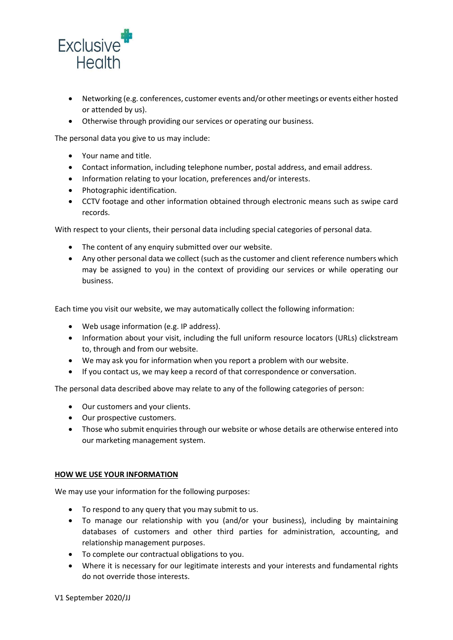

- Networking (e.g. conferences, customer events and/or other meetings or events either hosted or attended by us).
- Otherwise through providing our services or operating our business.

The personal data you give to us may include:

- Your name and title.
- Contact information, including telephone number, postal address, and email address.
- Information relating to your location, preferences and/or interests.
- Photographic identification.
- CCTV footage and other information obtained through electronic means such as swipe card records.

With respect to your clients, their personal data including special categories of personal data.

- The content of any enquiry submitted over our website.
- Any other personal data we collect (such as the customer and client reference numbers which may be assigned to you) in the context of providing our services or while operating our business.

Each time you visit our website, we may automatically collect the following information:

- Web usage information (e.g. IP address).
- Information about your visit, including the full uniform resource locators (URLs) clickstream to, through and from our website.
- We may ask you for information when you report a problem with our website.
- If you contact us, we may keep a record of that correspondence or conversation.

The personal data described above may relate to any of the following categories of person:

- Our customers and your clients.
- Our prospective customers.
- Those who submit enquiries through our website or whose details are otherwise entered into our marketing management system.

#### **HOW WE USE YOUR INFORMATION**

We may use your information for the following purposes:

- To respond to any query that you may submit to us.
- To manage our relationship with you (and/or your business), including by maintaining databases of customers and other third parties for administration, accounting, and relationship management purposes.
- To complete our contractual obligations to you.
- Where it is necessary for our legitimate interests and your interests and fundamental rights do not override those interests.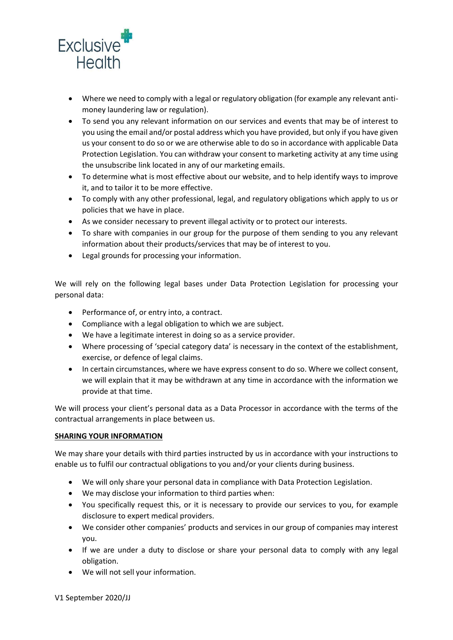

- Where we need to comply with a legal or regulatory obligation (for example any relevant antimoney laundering law or regulation).
- To send you any relevant information on our services and events that may be of interest to you using the email and/or postal address which you have provided, but only if you have given us your consent to do so or we are otherwise able to do so in accordance with applicable Data Protection Legislation. You can withdraw your consent to marketing activity at any time using the unsubscribe link located in any of our marketing emails.
- To determine what is most effective about our website, and to help identify ways to improve it, and to tailor it to be more effective.
- To comply with any other professional, legal, and regulatory obligations which apply to us or policies that we have in place.
- As we consider necessary to prevent illegal activity or to protect our interests.
- To share with companies in our group for the purpose of them sending to you any relevant information about their products/services that may be of interest to you.
- Legal grounds for processing your information.

We will rely on the following legal bases under Data Protection Legislation for processing your personal data:

- Performance of, or entry into, a contract.
- Compliance with a legal obligation to which we are subject.
- We have a legitimate interest in doing so as a service provider.
- Where processing of 'special category data' is necessary in the context of the establishment, exercise, or defence of legal claims.
- In certain circumstances, where we have express consent to do so. Where we collect consent, we will explain that it may be withdrawn at any time in accordance with the information we provide at that time.

We will process your client's personal data as a Data Processor in accordance with the terms of the contractual arrangements in place between us.

## **SHARING YOUR INFORMATION**

We may share your details with third parties instructed by us in accordance with your instructions to enable us to fulfil our contractual obligations to you and/or your clients during business.

- We will only share your personal data in compliance with Data Protection Legislation.
- We may disclose your information to third parties when:
- You specifically request this, or it is necessary to provide our services to you, for example disclosure to expert medical providers.
- We consider other companies' products and services in our group of companies may interest you.
- If we are under a duty to disclose or share your personal data to comply with any legal obligation.
- We will not sell your information.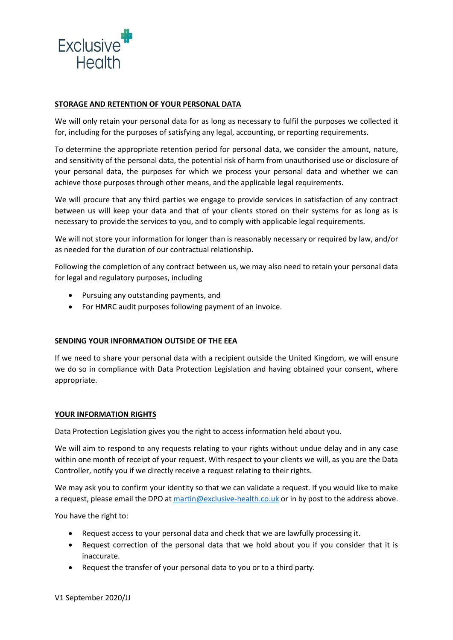

## **STORAGE AND RETENTION OF YOUR PERSONAL DATA**

We will only retain your personal data for as long as necessary to fulfil the purposes we collected it for, including for the purposes of satisfying any legal, accounting, or reporting requirements.

To determine the appropriate retention period for personal data, we consider the amount, nature, and sensitivity of the personal data, the potential risk of harm from unauthorised use or disclosure of your personal data, the purposes for which we process your personal data and whether we can achieve those purposes through other means, and the applicable legal requirements.

We will procure that any third parties we engage to provide services in satisfaction of any contract between us will keep your data and that of your clients stored on their systems for as long as is necessary to provide the services to you, and to comply with applicable legal requirements.

We will not store your information for longer than is reasonably necessary or required by law, and/or as needed for the duration of our contractual relationship.

Following the completion of any contract between us, we may also need to retain your personal data for legal and regulatory purposes, including

- Pursuing any outstanding payments, and
- For HMRC audit purposes following payment of an invoice.

## **SENDING YOUR INFORMATION OUTSIDE OF THE EEA**

If we need to share your personal data with a recipient outside the United Kingdom, we will ensure we do so in compliance with Data Protection Legislation and having obtained your consent, where appropriate.

## **YOUR INFORMATION RIGHTS**

Data Protection Legislation gives you the right to access information held about you.

We will aim to respond to any requests relating to your rights without undue delay and in any case within one month of receipt of your request. With respect to your clients we will, as you are the Data Controller, notify you if we directly receive a request relating to their rights.

We may ask you to confirm your identity so that we can validate a request. If you would like to make a request, please email the DPO at [martin@exclusive-health.co.uk](mailto:martin@exclusive-health.co.uk) or in by post to the address above.

You have the right to:

- Request access to your personal data and check that we are lawfully processing it.
- Request correction of the personal data that we hold about you if you consider that it is inaccurate.
- Request the transfer of your personal data to you or to a third party.